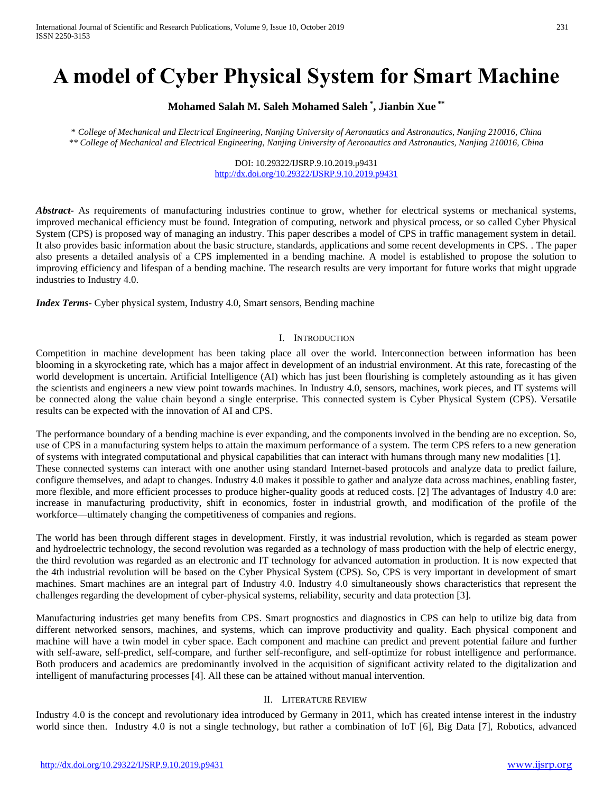# **A model of Cyber Physical System for Smart Machine**

## **Mohamed Salah M. Saleh Mohamed Saleh \* , Jianbin Xue \*\***

*\* College of Mechanical and Electrical Engineering, Nanjing University of Aeronautics and Astronautics, Nanjing 210016, China \*\* College of Mechanical and Electrical Engineering, Nanjing University of Aeronautics and Astronautics, Nanjing 210016, China*

> DOI: 10.29322/IJSRP.9.10.2019.p9431 <http://dx.doi.org/10.29322/IJSRP.9.10.2019.p9431>

*Abstract* As requirements of manufacturing industries continue to grow, whether for electrical systems or mechanical systems, improved mechanical efficiency must be found. Integration of computing, network and physical process, or so called Cyber Physical System (CPS) is proposed way of managing an industry. This paper describes a model of CPS in traffic management system in detail. It also provides basic information about the basic structure, standards, applications and some recent developments in CPS. . The paper also presents a detailed analysis of a CPS implemented in a bending machine. A model is established to propose the solution to improving efficiency and lifespan of a bending machine. The research results are very important for future works that might upgrade industries to Industry 4.0.

*Index Terms*- Cyber physical system, Industry 4.0, Smart sensors, Bending machine

#### I. INTRODUCTION

Competition in machine development has been taking place all over the world. Interconnection between information has been blooming in a skyrocketing rate, which has a major affect in development of an industrial environment. At this rate, forecasting of the world development is uncertain. Artificial Intelligence (AI) which has just been flourishing is completely astounding as it has given the scientists and engineers a new view point towards machines. In Industry 4.0, sensors, machines, work pieces, and IT systems will be connected along the value chain beyond a single enterprise. This connected system is Cyber Physical System (CPS). Versatile results can be expected with the innovation of AI and CPS.

The performance boundary of a bending machine is ever expanding, and the components involved in the bending are no exception. So, use of CPS in a manufacturing system helps to attain the maximum performance of a system. The term CPS refers to a new generation of systems with integrated computational and physical capabilities that can interact with humans through many new modalities [1]. These connected systems can interact with one another using standard Internet-based protocols and analyze data to predict failure, configure themselves, and adapt to changes. Industry 4.0 makes it possible to gather and analyze data across machines, enabling faster, more flexible, and more efficient processes to produce higher-quality goods at reduced costs. [2] The advantages of Industry 4.0 are: increase in manufacturing productivity, shift in economics, foster in industrial growth, and modification of the profile of the workforce—ultimately changing the competitiveness of companies and regions.

The world has been through different stages in development. Firstly, it was industrial revolution, which is regarded as steam power and hydroelectric technology, the second revolution was regarded as a technology of mass production with the help of electric energy, the third revolution was regarded as an electronic and IT technology for advanced automation in production. It is now expected that the 4th industrial revolution will be based on the Cyber Physical System (CPS). So, CPS is very important in development of smart machines. Smart machines are an integral part of Industry 4.0. Industry 4.0 simultaneously shows characteristics that represent the challenges regarding the development of cyber-physical systems, reliability, security and data protection [3].

Manufacturing industries get many benefits from CPS. Smart prognostics and diagnostics in CPS can help to utilize big data from different networked sensors, machines, and systems, which can improve productivity and quality. Each physical component and machine will have a twin model in cyber space. Each component and machine can predict and prevent potential failure and further with self-aware, self-predict, self-compare, and further self-reconfigure, and self-optimize for robust intelligence and performance. Both producers and academics are predominantly involved in the acquisition of significant activity related to the digitalization and intelligent of manufacturing processes [4]. All these can be attained without manual intervention.

#### II. LITERATURE REVIEW

Industry 4.0 is the concept and revolutionary idea introduced by Germany in 2011, which has created intense interest in the industry world since then. Industry 4.0 is not a single technology, but rather a combination of IoT [6], Big Data [7], Robotics, advanced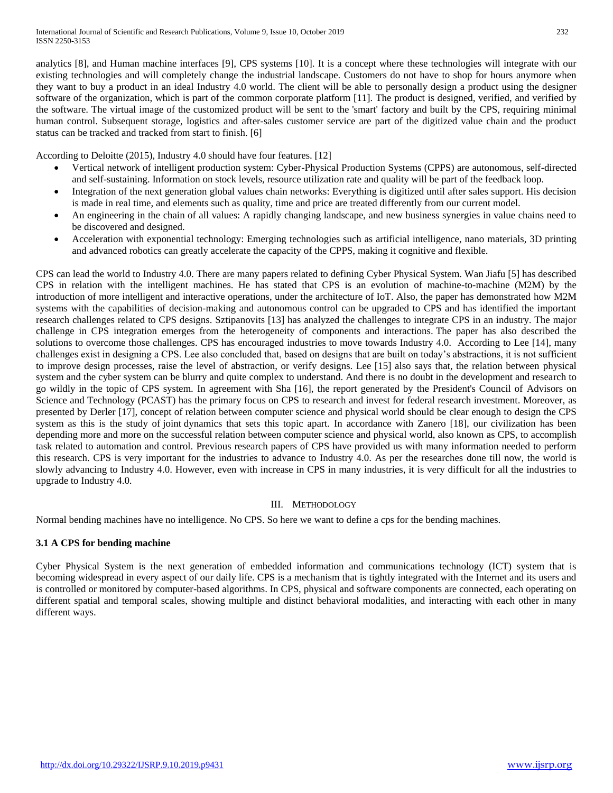analytics [8], and Human machine interfaces [9], CPS systems [10]. It is a concept where these technologies will integrate with our existing technologies and will completely change the industrial landscape. Customers do not have to shop for hours anymore when they want to buy a product in an ideal Industry 4.0 world. The client will be able to personally design a product using the designer software of the organization, which is part of the common corporate platform [11]. The product is designed, verified, and verified by the software. The virtual image of the customized product will be sent to the 'smart' factory and built by the CPS, requiring minimal human control. Subsequent storage, logistics and after-sales customer service are part of the digitized value chain and the product status can be tracked and tracked from start to finish. [6]

According to Deloitte (2015), Industry 4.0 should have four features. [12]

- Vertical network of intelligent production system: Cyber-Physical Production Systems (CPPS) are autonomous, self-directed and self-sustaining. Information on stock levels, resource utilization rate and quality will be part of the feedback loop.
- Integration of the next generation global values chain networks: Everything is digitized until after sales support. His decision is made in real time, and elements such as quality, time and price are treated differently from our current model.
- An engineering in the chain of all values: A rapidly changing landscape, and new business synergies in value chains need to be discovered and designed.
- Acceleration with exponential technology: Emerging technologies such as artificial intelligence, nano materials, 3D printing and advanced robotics can greatly accelerate the capacity of the CPPS, making it cognitive and flexible.

CPS can lead the world to Industry 4.0. There are many papers related to defining Cyber Physical System. Wan Jiafu [5] has described CPS in relation with the intelligent machines. He has stated that CPS is an evolution of machine-to-machine (M2M) by the introduction of more intelligent and interactive operations, under the architecture of IoT. Also, the paper has demonstrated how M2M systems with the capabilities of decision-making and autonomous control can be upgraded to CPS and has identified the important research challenges related to CPS designs. Sztipanovits [13] has analyzed the challenges to integrate CPS in an industry. The major challenge in CPS integration emerges from the heterogeneity of components and interactions. The paper has also described the solutions to overcome those challenges. CPS has encouraged industries to move towards Industry 4.0. According to Lee [14], many challenges exist in designing a CPS. Lee also concluded that, based on designs that are built on today's abstractions, it is not sufficient to improve design processes, raise the level of abstraction, or verify designs. Lee [15] also says that, the relation between physical system and the cyber system can be blurry and quite complex to understand. And there is no doubt in the development and research to go wildly in the topic of CPS system. In agreement with Sha [16], the report generated by the President's Council of Advisors on Science and Technology (PCAST) has the primary focus on CPS to research and invest for federal research investment. Moreover, as presented by Derler [17], concept of relation between computer science and physical world should be clear enough to design the CPS system as this is the study of joint dynamics that sets this topic apart. In accordance with Zanero [18], our civilization has been depending more and more on the successful relation between computer science and physical world, also known as CPS, to accomplish task related to automation and control. Previous research papers of CPS have provided us with many information needed to perform this research. CPS is very important for the industries to advance to Industry 4.0. As per the researches done till now, the world is slowly advancing to Industry 4.0. However, even with increase in CPS in many industries, it is very difficult for all the industries to upgrade to Industry 4.0.

## III. METHODOLOGY

Normal bending machines have no intelligence. No CPS. So here we want to define a cps for the bending machines.

## **3.1 A CPS for bending machine**

Cyber Physical System is the next generation of embedded information and communications technology (ICT) system that is becoming widespread in every aspect of our daily life. CPS is a mechanism that is tightly integrated with the Internet and its users and is controlled or monitored by computer-based algorithms. In CPS, physical and software components are connected, each operating on different spatial and temporal scales, showing multiple and distinct behavioral modalities, and interacting with each other in many different ways.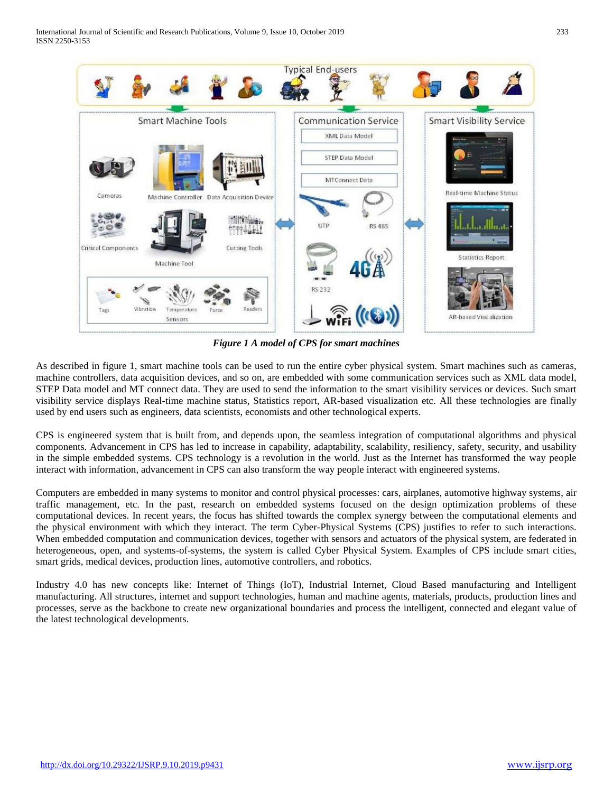

*Figure 1 A model of CPS for smart machines*

As described in figure 1, smart machine tools can be used to run the entire cyber physical system. Smart machines such as cameras, machine controllers, data acquisition devices, and so on, are embedded with some communication services such as XML data model, STEP Data model and MT connect data. They are used to send the information to the smart visibility services or devices. Such smart visibility service displays Real-time machine status, Statistics report, AR-based visualization etc. All these technologies are finally used by end users such as engineers, data scientists, economists and other technological experts.

CPS is engineered system that is built from, and depends upon, the seamless integration of computational algorithms and physical components. Advancement in CPS has led to increase in capability, adaptability, scalability, resiliency, safety, security, and usability in the simple embedded systems. CPS technology is a revolution in the world. Just as the Internet has transformed the way people interact with information, advancement in CPS can also transform the way people interact with engineered systems.

Computers are embedded in many systems to monitor and control physical processes: cars, airplanes, automotive highway systems, air traffic management, etc. In the past, research on embedded systems focused on the design optimization problems of these computational devices. In recent years, the focus has shifted towards the complex synergy between the computational elements and the physical environment with which they interact. The term Cyber-Physical Systems (CPS) justifies to refer to such interactions. When embedded computation and communication devices, together with sensors and actuators of the physical system, are federated in heterogeneous, open, and systems-of-systems, the system is called Cyber Physical System. Examples of CPS include smart cities, smart grids, medical devices, production lines, automotive controllers, and robotics.

Industry 4.0 has new concepts like: Internet of Things (IoT), Industrial Internet, Cloud Based manufacturing and Intelligent manufacturing. All structures, internet and support technologies, human and machine agents, materials, products, production lines and processes, serve as the backbone to create new organizational boundaries and process the intelligent, connected and elegant value of the latest technological developments.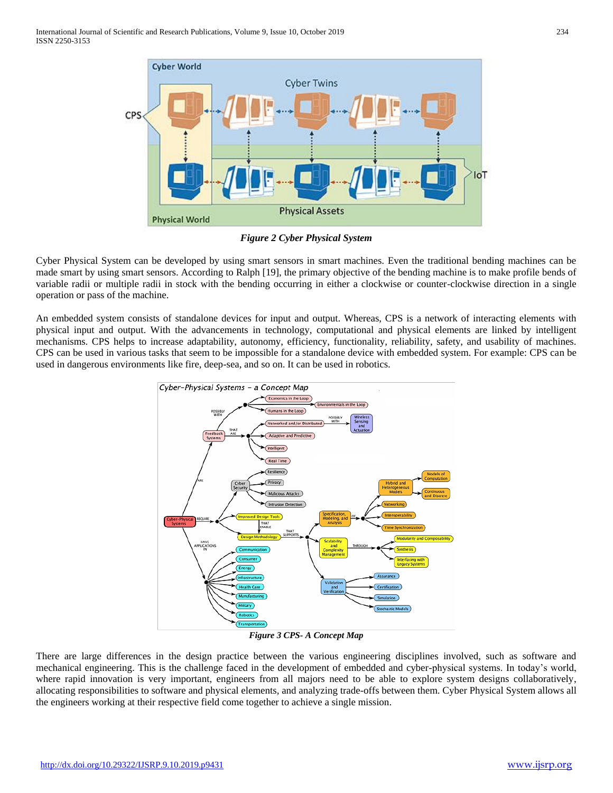

*Figure 2 Cyber Physical System*

Cyber Physical System can be developed by using smart sensors in smart machines. Even the traditional bending machines can be made smart by using smart sensors. According to Ralph [19], the primary objective of the bending machine is to make profile bends of variable radii or multiple radii in stock with the bending occurring in either a clockwise or counter-clockwise direction in a single operation or pass of the machine.

An embedded system consists of standalone devices for input and output. Whereas, CPS is a network of interacting elements with physical input and output. With the advancements in technology, computational and physical elements are linked by intelligent mechanisms. CPS helps to increase adaptability, autonomy, efficiency, functionality, reliability, safety, and usability of machines. CPS can be used in various tasks that seem to be impossible for a standalone device with embedded system. For example: CPS can be used in dangerous environments like fire, deep-sea, and so on. It can be used in robotics.



*Figure 3 CPS- A Concept Map*

There are large differences in the design practice between the various engineering disciplines involved, such as software and mechanical engineering. This is the challenge faced in the development of embedded and cyber-physical systems. In today's world, where rapid innovation is very important, engineers from all majors need to be able to explore system designs collaboratively, allocating responsibilities to software and physical elements, and analyzing trade-offs between them. Cyber Physical System allows all the engineers working at their respective field come together to achieve a single mission.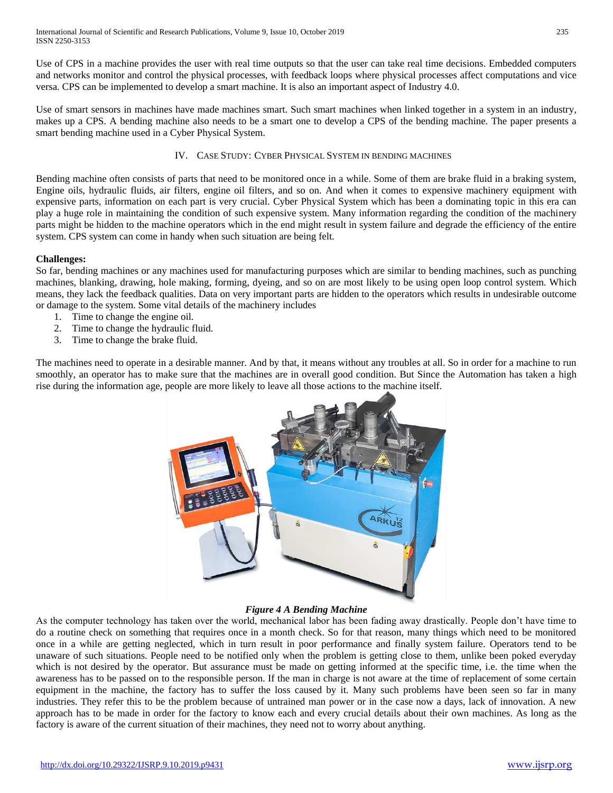Use of CPS in a machine provides the user with real time outputs so that the user can take real time decisions. Embedded computers and networks monitor and control the physical processes, with feedback loops where physical processes affect computations and vice versa. CPS can be implemented to develop a smart machine. It is also an important aspect of Industry 4.0.

Use of smart sensors in machines have made machines smart. Such smart machines when linked together in a system in an industry, makes up a CPS. A bending machine also needs to be a smart one to develop a CPS of the bending machine. The paper presents a smart bending machine used in a Cyber Physical System.

### IV. CASE STUDY: CYBER PHYSICAL SYSTEM IN BENDING MACHINES

Bending machine often consists of parts that need to be monitored once in a while. Some of them are brake fluid in a braking system, Engine oils, hydraulic fluids, air filters, engine oil filters, and so on. And when it comes to expensive machinery equipment with expensive parts, information on each part is very crucial. Cyber Physical System which has been a dominating topic in this era can play a huge role in maintaining the condition of such expensive system. Many information regarding the condition of the machinery parts might be hidden to the machine operators which in the end might result in system failure and degrade the efficiency of the entire system. CPS system can come in handy when such situation are being felt.

### **Challenges:**

So far, bending machines or any machines used for manufacturing purposes which are similar to bending machines, such as punching machines, blanking, drawing, hole making, forming, dyeing, and so on are most likely to be using open loop control system. Which means, they lack the feedback qualities. Data on very important parts are hidden to the operators which results in undesirable outcome or damage to the system. Some vital details of the machinery includes

- 1. Time to change the engine oil.
- 2. Time to change the hydraulic fluid.
- 3. Time to change the brake fluid.

The machines need to operate in a desirable manner. And by that, it means without any troubles at all. So in order for a machine to run smoothly, an operator has to make sure that the machines are in overall good condition. But Since the Automation has taken a high rise during the information age, people are more likely to leave all those actions to the machine itself.



#### *Figure 4 A Bending Machine*

As the computer technology has taken over the world, mechanical labor has been fading away drastically. People don't have time to do a routine check on something that requires once in a month check. So for that reason, many things which need to be monitored once in a while are getting neglected, which in turn result in poor performance and finally system failure. Operators tend to be unaware of such situations. People need to be notified only when the problem is getting close to them, unlike been poked everyday which is not desired by the operator. But assurance must be made on getting informed at the specific time, i.e. the time when the awareness has to be passed on to the responsible person. If the man in charge is not aware at the time of replacement of some certain equipment in the machine, the factory has to suffer the loss caused by it. Many such problems have been seen so far in many industries. They refer this to be the problem because of untrained man power or in the case now a days, lack of innovation. A new approach has to be made in order for the factory to know each and every crucial details about their own machines. As long as the factory is aware of the current situation of their machines, they need not to worry about anything.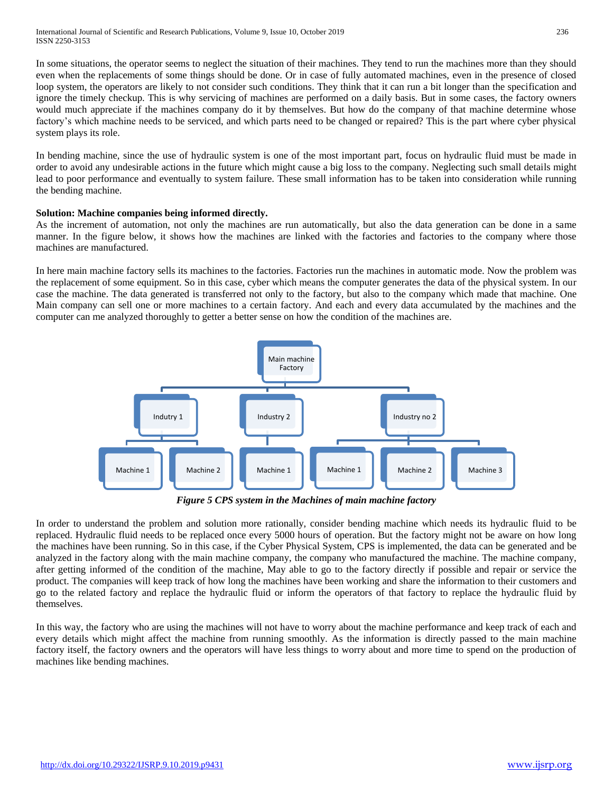In some situations, the operator seems to neglect the situation of their machines. They tend to run the machines more than they should even when the replacements of some things should be done. Or in case of fully automated machines, even in the presence of closed loop system, the operators are likely to not consider such conditions. They think that it can run a bit longer than the specification and ignore the timely checkup. This is why servicing of machines are performed on a daily basis. But in some cases, the factory owners would much appreciate if the machines company do it by themselves. But how do the company of that machine determine whose factory's which machine needs to be serviced, and which parts need to be changed or repaired? This is the part where cyber physical system plays its role.

In bending machine, since the use of hydraulic system is one of the most important part, focus on hydraulic fluid must be made in order to avoid any undesirable actions in the future which might cause a big loss to the company. Neglecting such small details might lead to poor performance and eventually to system failure. These small information has to be taken into consideration while running the bending machine.

### **Solution: Machine companies being informed directly.**

As the increment of automation, not only the machines are run automatically, but also the data generation can be done in a same manner. In the figure below, it shows how the machines are linked with the factories and factories to the company where those machines are manufactured.

In here main machine factory sells its machines to the factories. Factories run the machines in automatic mode. Now the problem was the replacement of some equipment. So in this case, cyber which means the computer generates the data of the physical system. In our case the machine. The data generated is transferred not only to the factory, but also to the company which made that machine. One Main company can sell one or more machines to a certain factory. And each and every data accumulated by the machines and the computer can me analyzed thoroughly to getter a better sense on how the condition of the machines are.



*Figure 5 CPS system in the Machines of main machine factory*

In order to understand the problem and solution more rationally, consider bending machine which needs its hydraulic fluid to be replaced. Hydraulic fluid needs to be replaced once every 5000 hours of operation. But the factory might not be aware on how long the machines have been running. So in this case, if the Cyber Physical System, CPS is implemented, the data can be generated and be analyzed in the factory along with the main machine company, the company who manufactured the machine. The machine company, after getting informed of the condition of the machine, May able to go to the factory directly if possible and repair or service the product. The companies will keep track of how long the machines have been working and share the information to their customers and go to the related factory and replace the hydraulic fluid or inform the operators of that factory to replace the hydraulic fluid by themselves.

In this way, the factory who are using the machines will not have to worry about the machine performance and keep track of each and every details which might affect the machine from running smoothly. As the information is directly passed to the main machine factory itself, the factory owners and the operators will have less things to worry about and more time to spend on the production of machines like bending machines.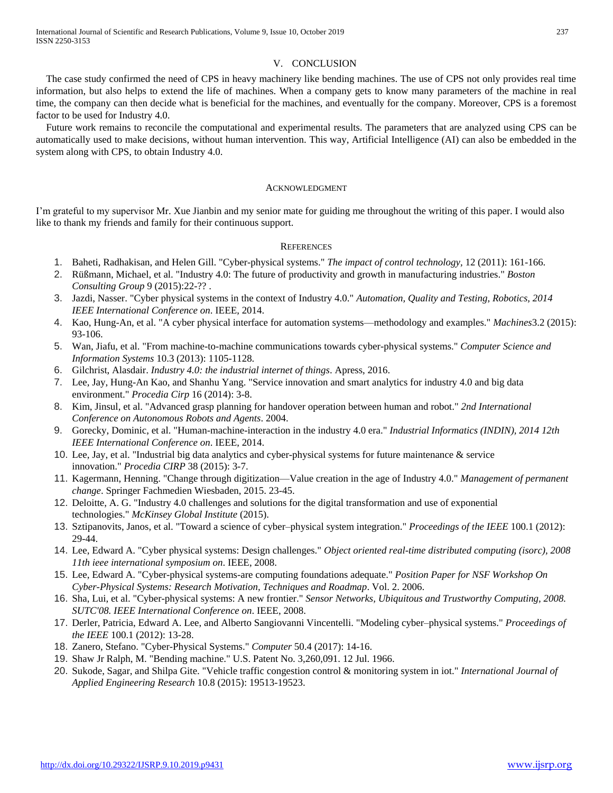#### V. CONCLUSION

The case study confirmed the need of CPS in heavy machinery like bending machines. The use of CPS not only provides real time information, but also helps to extend the life of machines. When a company gets to know many parameters of the machine in real time, the company can then decide what is beneficial for the machines, and eventually for the company. Moreover, CPS is a foremost factor to be used for Industry 4.0.

Future work remains to reconcile the computational and experimental results. The parameters that are analyzed using CPS can be automatically used to make decisions, without human intervention. This way, Artificial Intelligence (AI) can also be embedded in the system along with CPS, to obtain Industry 4.0.

#### ACKNOWLEDGMENT

I'm grateful to my supervisor Mr. Xue Jianbin and my senior mate for guiding me throughout the writing of this paper. I would also like to thank my friends and family for their continuous support.

#### **REFERENCES**

- 1. Baheti, Radhakisan, and Helen Gill. "Cyber-physical systems." *The impact of control technology,* 12 (2011): 161-166.
- 2. Rüßmann, Michael, et al. "Industry 4.0: The future of productivity and growth in manufacturing industries." *Boston Consulting Group* 9 (2015):22-?? .
- 3. Jazdi, Nasser. "Cyber physical systems in the context of Industry 4.0." *Automation, Quality and Testing, Robotics, 2014 IEEE International Conference on*. IEEE, 2014.
- 4. Kao, Hung-An, et al. "A cyber physical interface for automation systems—methodology and examples." *Machines*3.2 (2015): 93-106.
- 5. Wan, Jiafu, et al. "From machine-to-machine communications towards cyber-physical systems." *Computer Science and Information Systems* 10.3 (2013): 1105-1128.
- 6. Gilchrist, Alasdair. *Industry 4.0: the industrial internet of things*. Apress, 2016.
- 7. Lee, Jay, Hung-An Kao, and Shanhu Yang. "Service innovation and smart analytics for industry 4.0 and big data environment." *Procedia Cirp* 16 (2014): 3-8.
- 8. Kim, Jinsul, et al. "Advanced grasp planning for handover operation between human and robot." *2nd International Conference on Autonomous Robots and Agents*. 2004.
- 9. Gorecky, Dominic, et al. "Human-machine-interaction in the industry 4.0 era." *Industrial Informatics (INDIN), 2014 12th IEEE International Conference on*. IEEE, 2014.
- 10. Lee, Jay, et al. "Industrial big data analytics and cyber-physical systems for future maintenance & service innovation." *Procedia CIRP* 38 (2015): 3-7.
- 11. Kagermann, Henning. "Change through digitization—Value creation in the age of Industry 4.0." *Management of permanent change*. Springer Fachmedien Wiesbaden, 2015. 23-45.
- 12. Deloitte, A. G. "Industry 4.0 challenges and solutions for the digital transformation and use of exponential technologies." *McKinsey Global Institute* (2015).
- 13. Sztipanovits, Janos, et al. "Toward a science of cyber–physical system integration." *Proceedings of the IEEE* 100.1 (2012): 29-44.
- 14. Lee, Edward A. "Cyber physical systems: Design challenges." *Object oriented real-time distributed computing (isorc), 2008 11th ieee international symposium on*. IEEE, 2008.
- 15. Lee, Edward A. "Cyber-physical systems-are computing foundations adequate." *Position Paper for NSF Workshop On Cyber-Physical Systems: Research Motivation, Techniques and Roadmap*. Vol. 2. 2006.
- 16. Sha, Lui, et al. "Cyber-physical systems: A new frontier." *Sensor Networks, Ubiquitous and Trustworthy Computing, 2008. SUTC'08. IEEE International Conference on*. IEEE, 2008.
- 17. Derler, Patricia, Edward A. Lee, and Alberto Sangiovanni Vincentelli. "Modeling cyber–physical systems." *Proceedings of the IEEE* 100.1 (2012): 13-28.
- 18. Zanero, Stefano. "Cyber-Physical Systems." *Computer* 50.4 (2017): 14-16.
- 19. Shaw Jr Ralph, M. "Bending machine." U.S. Patent No. 3,260,091. 12 Jul. 1966.
- 20. Sukode, Sagar, and Shilpa Gite. "Vehicle traffic congestion control & monitoring system in iot." *International Journal of Applied Engineering Research* 10.8 (2015): 19513-19523.